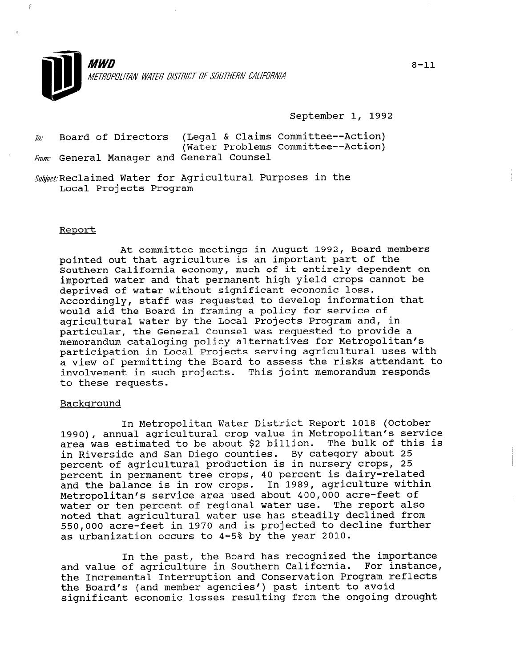

September 1, 1992

 $\bar{w}$ : Board of Directors (Legal & Claims Committee--Action) (Water Problems Committee--Action) Fram: General Manager and General Counsel

Subject: Reclaimed Water for Agricultural Purposes in the Local Projects Program

### Report

At committee meetings in August 1992, Board members pointed out that agriculture is an important part of the Southern California economy, much of it entirely dependent on imported water and that permanent high yield crops cannot be deprived of water without significant economic loss. Accordingly, staff was requested to develop information that would aid the Board in framing a policy for service of agricultural water by the Local Projects Program and, in particular, the General Counsel was requested to provide a memorandum cataloging policy alternatives for Metropolitan's participation in Local Projects serving agricultural uses with a view of permitting the Board to assess the risks attendant to involvement in such projects. This joint memorandum responds to these requests.

#### Background

In Metropolitan Water District Report 1018 (October 1990), annual agricultural crop value in Metropolitan's service area was estimated to be about \$2 billion. The bulk of this is in Riverside and San Diego counties. By category about 25 percent of agricultural production is in nursery crops, 25 percent in permanent tree crops, 40 percent is dairy-related and the balance is in row crops. In 1989, agriculture within Metropolitan's service area used about 400,000 acre-feet of water or ten percent of regional water use. The report also noted that agricultural water use has steadily declined from 550,000 acre-feet in 1970 and is projected to decline further as urbanization occurs to 4-5% by the year 2010.

In the past, the Board has recognized the importance and value of agriculture in Southern California. For instance, dill Value Of ayficulture in Southern Carifornia. Toi filstal<br>the Insurantel Interruption and Conservation Program reflect the Incremental Interruption and Conservation Frogram the Board's (and member agencies') past intent to avoid<br>significant economic losses resulting from the ongoing drought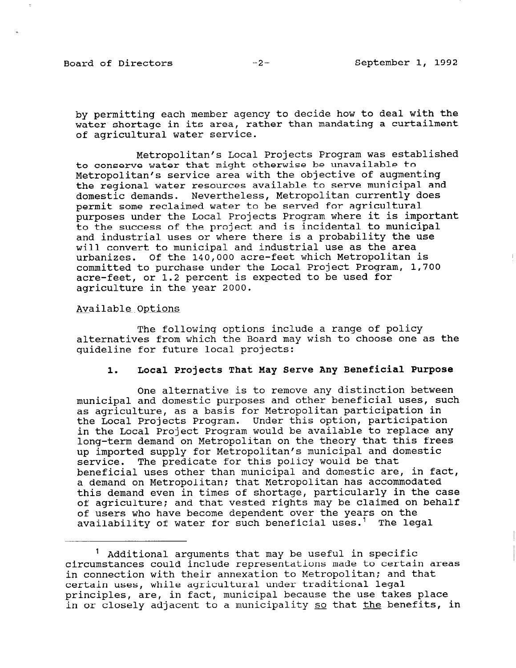by permitting each member agency to decide how to deal with the water shortage in its area, rather than mandating a curtailment of agricultural water service.

Metropolitan's Local Projects Program was established to conserve water that might otherwise be unavailable to Metropolitan's service area with the objective of augmenting the regional water resources available to serve municipal and domestic demands. Nevertheless, Metropolitan currently does permit some reclaimed water to be served for agricultural purposes under the Local Projects Program where it is important to the success of the project and is incidental to municipal and industrial uses or where there is a probability the use will convert to municipal and industrial use as the area urbanizes. Of the 140,000 acre-feet which Metropolitan is committed to purchase under the Local Project Program, 1,700 acre-feet, or 1.2 percent is expected to be used for agriculture in the year 2000.

Available Options

The following options include a range of policy alternatives from which the Board may wish to choose one as the guideline for future local projects:

# 1. Local Projects That May Serve Any Beneficial Purpose

One alternative is to remove any distinction between municipal and domestic purposes and other beneficial uses, such as agriculture, as a basis for Metropolitan participation in the Local Projects Program. Under this option, participation in the Local Project Program would be available to replace any long-term demand on Metropolitan on the theory that this frees up imported supply for Metropolitan's municipal and domestic service. The predicate for this policy would be that beneficial uses other than municipal and domestic are, in fact, a demand on Metropolitan; that Metropolitan has accommodated this demand even in times of shortage, particularly in the case of agriculture; and that vested rights may be claimed on behalf of users who have become dependent over the years on the availability of water for such beneficial uses.<sup>1</sup> The legal

 $<sup>1</sup>$  Additional arguments that may be useful in specific</sup> circumstances could include representations made to certain areas in connection with their annexation to Metropolitan; and that In connection with their annexation to metropolitan; an principles, while agricultural under tradicipinal legal<br>Certain uses, while agricultural under tradicipal legal principies, ale, in fact, municipal because the use takes place.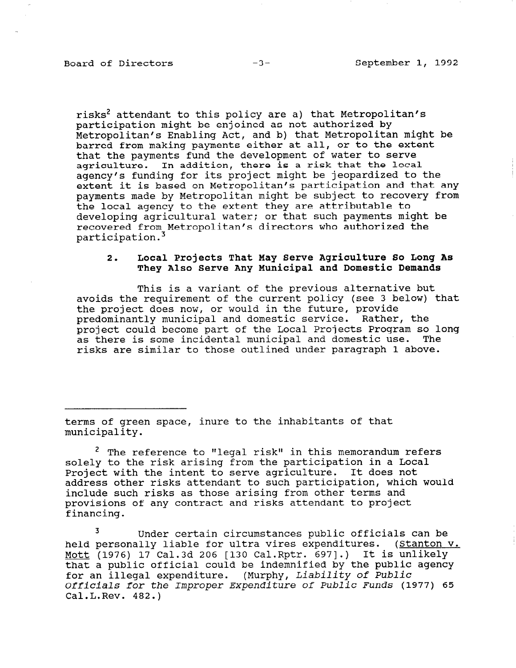risks<sup>2</sup> attendant to this policy are a) that Metropolitan's participation might be enjoined as not authorized by Metropolitan's Enabling Act, and b) that Metropolitan might be barred from making payments either at all, or to the extent that the payments fund the development of water to serve agriculture. In addition, there is a risk that the local agency's funding for its project might be jeopardized to the extent it is based on Metropolitan's participation and that any payments made by Metropolitan might be subject to recovery from the local agency to the extent they are attributable to developing agricultural water; or that such payments might be recovered from Metropolitan's directors who authorized the participat

# 2. Local Projects That May Serve Agriculture So Long As They Also Serve Any Municipal and Domestic Demands

This is a variant of the previous alternative but avoids the requirement of the current policy (see 3 below) that the project does now, or would in the future, provide predominantly municipal and domestic service. Rather, the project could become part of the Local Projects Program so long as there is some incidental municipal and domestic use. The risks are similar to those outlined under paragraph 1 above.

terms of green space, inure to the inhabitants of that municipality.

 $2$  The reference to "legal risk" in this memorandum refers solely to the risk arising from the participation in a Local Project with the intent to serve agriculture. It does not address other risks attendant to such participation, which would include such risks as those arising from other terms and provisions of any contract and right attendant to projections and financing.

<sup>3</sup> Under certain circumstances public officials can be held personally liable for ultra vires expenditures. (Stanton v. meid personally liable for uitra vires expenditures. (Stante<br>Matt. (1976) 17 Oal.3d 206 [120 Oal.Rptr. 6971.) It is unlike Mott  $(1976)$  17 Cal.3d 206 [130 Cal.Rptr. 697].) It is unlikely that a public official could be indemnified by the public agency that a public official could be indemnified by the public<br>for an illegal expenditure... (Murphy, Liability of Public Officials for the Improper Expenditure of Public Funds (1977) 65 Officials for the Improper Expenditure of Public Funds (1977) 65<br>Cal.L.Rev. 482.)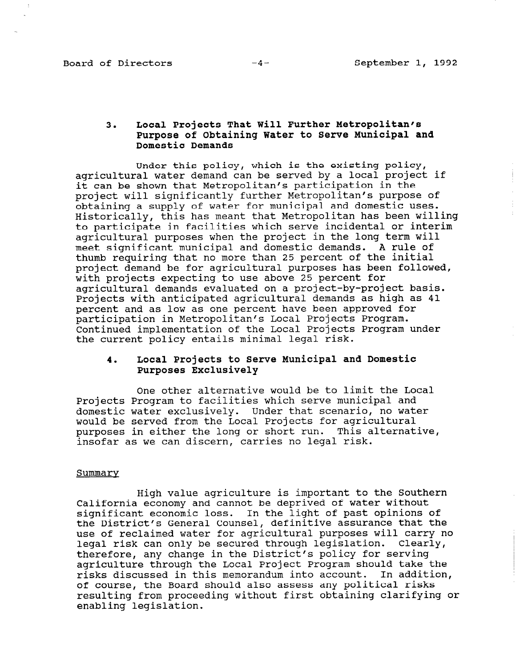# 3. Local Projects That Will Further Metropolitan's Purpose of Obtaining Water to Serve Municipal and Domestic Demands

Under this policy, which is the existing policy, agricultural water demand can be served by a local project if it can be shown that Metropolitan's participation in the project will significantly further Metropolitan's purpose of obtaining a supply of water for municipal and domestic uses. Historically, this has meant that Metropolitan has been willing to participate in facilities which serve incidental or interim agricultural purposes when the project in the long term will meet significant municipal and domestic demands. A rule of thumb requiring that no more than 25 percent of the initial project demand be for agricultural purposes has been followed, with projects expecting to use above 25 percent for agricultural demands evaluated on a project-by-project basis. Projects with anticipated agricultural demands as high as 41 percent and as low as one percent have been approved for participation in Metropolitan's Local Projects Program. Continued implementation of the Local Projects Program under the current policy entails minimal legal risk.

## 4. Local Projects to Serve Municipal and Domestic Purposes Exclusively

One other alternative would be to limit the Local Projects Program to facilities which serve municipal and domestic water exclusively. Under that scenario, no water would be served from the Local Projects for agricultural purposes in either the long or short run. This alternative, insofar as we can discern, carries no legal risk.

### Summarv

High value agriculture is important to the Southern nigh value agriculture is important to the bou<br>California economy and cannot be deprived of without without california economy and cannot be deprived of water without significant economic loss. In the light of past opinions of<br>the District's General Counsel, definitive assurance that the use production and counsel, definitive assurance that the use of reclaimed water for agricultural purposes will carry<br>legal pick can only be secured through legislation. Clearl legal risk can only be secured through legislation. Clearly, therefore, any change in the District's policy for serving agriculture through the Local Project Program should take the risks discussed in this memorandum into account. In addition, risks discussed in this memorandum into account. In addit of course, the board should also assess any political fisks resulting from proceeding without first obtaining clarifying or enabling legislation.